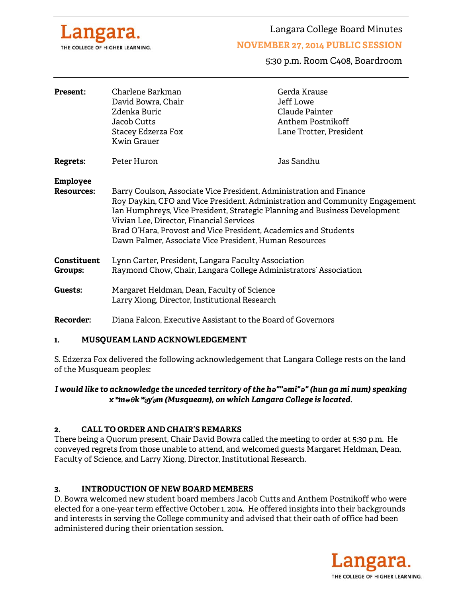

Langara College Board Minutes

## **NOVEMBER 27, 2014 PUBLIC SESSION**

5:30 p.m. Room C408, Boardroom

| <b>Present:</b>                      | Charlene Barkman<br>David Bowra, Chair<br>Zdenka Buric<br>Jacob Cutts<br>Stacey Edzerza Fox<br><b>Kwin Grauer</b>                                                                                                                                                                                                                  | Gerda Krause<br>Jeff Lowe<br>Claude Painter<br>Anthem Postnikoff<br>Lane Trotter, President |
|--------------------------------------|------------------------------------------------------------------------------------------------------------------------------------------------------------------------------------------------------------------------------------------------------------------------------------------------------------------------------------|---------------------------------------------------------------------------------------------|
| <b>Regrets:</b>                      | Peter Huron                                                                                                                                                                                                                                                                                                                        | Jas Sandhu                                                                                  |
| <b>Employee</b><br><b>Resources:</b> | Barry Coulson, Associate Vice President, Administration and Finance                                                                                                                                                                                                                                                                |                                                                                             |
|                                      | Roy Daykin, CFO and Vice President, Administration and Community Engagement<br>Ian Humphreys, Vice President, Strategic Planning and Business Development<br>Vivian Lee, Director, Financial Services<br>Brad O'Hara, Provost and Vice President, Academics and Students<br>Dawn Palmer, Associate Vice President, Human Resources |                                                                                             |
| Constituent<br>Groups:               | Lynn Carter, President, Langara Faculty Association<br>Raymond Chow, Chair, Langara College Administrators' Association                                                                                                                                                                                                            |                                                                                             |
| Guests:                              | Margaret Heldman, Dean, Faculty of Science<br>Larry Xiong, Director, Institutional Research                                                                                                                                                                                                                                        |                                                                                             |
| <b>Recorder:</b>                     | Diana Falcon, Executive Assistant to the Board of Governors                                                                                                                                                                                                                                                                        |                                                                                             |

#### **1. MUSQUEAM LAND ACKNOWLEDGEMENT**

S. Edzerza Fox delivered the following acknowledgement that Langara College rests on the land of the Musqueam peoples:

*I would like to acknowledge the unceded territory of the hə""əmi"ə" (hun ga mi num) speaking x*ʷ*məθk*ʷə*y*̓ə*m (Musqueam), on which Langara College is located.* 

#### **2. CALL TO ORDER AND CHAIR'S REMARKS**

There being a Quorum present, Chair David Bowra called the meeting to order at 5:30 p.m. He conveyed regrets from those unable to attend, and welcomed guests Margaret Heldman, Dean, Faculty of Science, and Larry Xiong, Director, Institutional Research.

#### **3. INTRODUCTION OF NEW BOARD MEMBERS**

D. Bowra welcomed new student board members Jacob Cutts and Anthem Postnikoff who were elected for a one-year term effective October 1, 2014. He offered insights into their backgrounds and interests in serving the College community and advised that their oath of office had been administered during their orientation session.

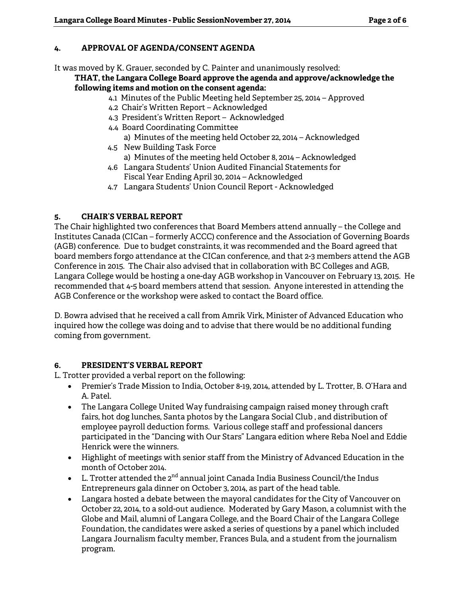# **4. APPROVAL OF AGENDA/CONSENT AGENDA**

It was moved by K. Grauer, seconded by C. Painter and unanimously resolved:

#### **THAT, the Langara College Board approve the agenda and approve/acknowledge the following items and motion on the consent agenda:**

- 4.1 Minutes of the Public Meeting held September 25, 2014 Approved
- 4.2 Chair's Written Report Acknowledged
- 4.3 President's Written Report Acknowledged
- 4.4 Board Coordinating Committee a) Minutes of the meeting held October 22, 2014 – Acknowledged
- 4.5 New Building Task Force a) Minutes of the meeting held October 8, 2014 – Acknowledged
- 4.6 Langara Students' Union Audited Financial Statements for Fiscal Year Ending April 30, 2014 – Acknowledged
- 4.7 Langara Students' Union Council Report Acknowledged

# **5. CHAIR'S VERBAL REPORT**

The Chair highlighted two conferences that Board Members attend annually – the College and Institutes Canada (CICan – formerly ACCC) conference and the Association of Governing Boards (AGB) conference. Due to budget constraints, it was recommended and the Board agreed that board members forgo attendance at the CICan conference, and that 2-3 members attend the AGB Conference in 2015. The Chair also advised that in collaboration with BC Colleges and AGB, Langara College would be hosting a one-day AGB workshop in Vancouver on February 13, 2015. He recommended that 4-5 board members attend that session. Anyone interested in attending the AGB Conference or the workshop were asked to contact the Board office.

D. Bowra advised that he received a call from Amrik Virk, Minister of Advanced Education who inquired how the college was doing and to advise that there would be no additional funding coming from government.

# **6. PRESIDENT'S VERBAL REPORT**

L. Trotter provided a verbal report on the following:

- Premier's Trade Mission to India, October 8-19, 2014, attended by L. Trotter, B. O'Hara and A. Patel.
- The Langara College United Way fundraising campaign raised money through craft fairs, hot dog lunches, Santa photos by the Langara Social Club , and distribution of employee payroll deduction forms. Various college staff and professional dancers participated in the "Dancing with Our Stars" Langara edition where Reba Noel and Eddie Henrick were the winners.
- Highlight of meetings with senior staff from the Ministry of Advanced Education in the month of October 2014.
- $\bullet$  L. Trotter attended the  $2^{nd}$  annual joint Canada India Business Council/the Indus Entrepreneurs gala dinner on October 3, 2014, as part of the head table.
- Langara hosted a debate between the mayoral candidates for the City of Vancouver on October 22, 2014, to a sold-out audience. Moderated by Gary Mason, a columnist with the Globe and Mail, alumni of Langara College, and the Board Chair of the Langara College Foundation, the candidates were asked a series of questions by a panel which included Langara Journalism faculty member, Frances Bula, and a student from the journalism program.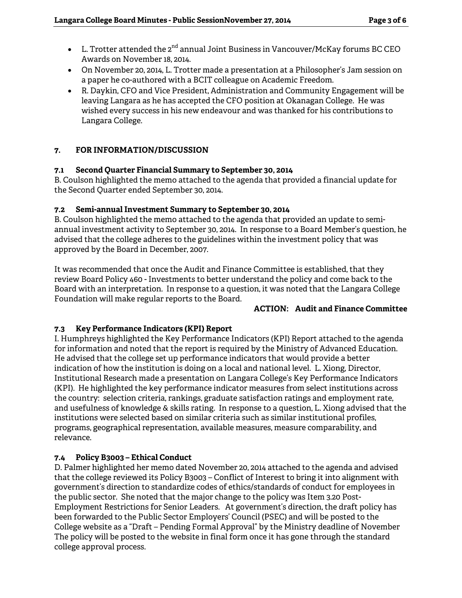- $\bullet$  L. Trotter attended the 2<sup>nd</sup> annual Joint Business in Vancouver/McKay forums BC CEO Awards on November 18, 2014.
- On November 20, 2014, L. Trotter made a presentation at a Philosopher's Jam session on a paper he co-authored with a BCIT colleague on Academic Freedom.
- R. Daykin, CFO and Vice President, Administration and Community Engagement will be leaving Langara as he has accepted the CFO position at Okanagan College. He was wished every success in his new endeavour and was thanked for his contributions to Langara College.

# **7. FOR INFORMATION/DISCUSSION**

## **7.1 Second Quarter Financial Summary to September 30, 2014**

B. Coulson highlighted the memo attached to the agenda that provided a financial update for the Second Quarter ended September 30, 2014.

## **7.2 Semi-annual Investment Summary to September 30, 2014**

B. Coulson highlighted the memo attached to the agenda that provided an update to semiannual investment activity to September 30, 2014. In response to a Board Member's question, he advised that the college adheres to the guidelines within the investment policy that was approved by the Board in December, 2007.

It was recommended that once the Audit and Finance Committee is established, that they review Board Policy 460 - Investments to better understand the policy and come back to the Board with an interpretation. In response to a question, it was noted that the Langara College Foundation will make regular reports to the Board.

#### **ACTION: Audit and Finance Committee**

# **7.3 Key Performance Indicators (KPI) Report**

I. Humphreys highlighted the Key Performance Indicators (KPI) Report attached to the agenda for information and noted that the report is required by the Ministry of Advanced Education. He advised that the college set up performance indicators that would provide a better indication of how the institution is doing on a local and national level. L. Xiong, Director, Institutional Research made a presentation on Langara College's Key Performance Indicators (KPI). He highlighted the key performance indicator measures from select institutions across the country: selection criteria, rankings, graduate satisfaction ratings and employment rate, and usefulness of knowledge & skills rating. In response to a question, L. Xiong advised that the institutions were selected based on similar criteria such as similar institutional profiles, programs, geographical representation, available measures, measure comparability, and relevance.

# **7.4 Policy B3003 – Ethical Conduct**

D. Palmer highlighted her memo dated November 20, 2014 attached to the agenda and advised that the college reviewed its Policy B3003 – Conflict of Interest to bring it into alignment with government's direction to standardize codes of ethics/standards of conduct for employees in the public sector. She noted that the major change to the policy was Item 3.20 Post-Employment Restrictions for Senior Leaders. At government's direction, the draft policy has been forwarded to the Public Sector Employers' Council (PSEC) and will be posted to the College website as a "Draft – Pending Formal Approval" by the Ministry deadline of November The policy will be posted to the website in final form once it has gone through the standard college approval process.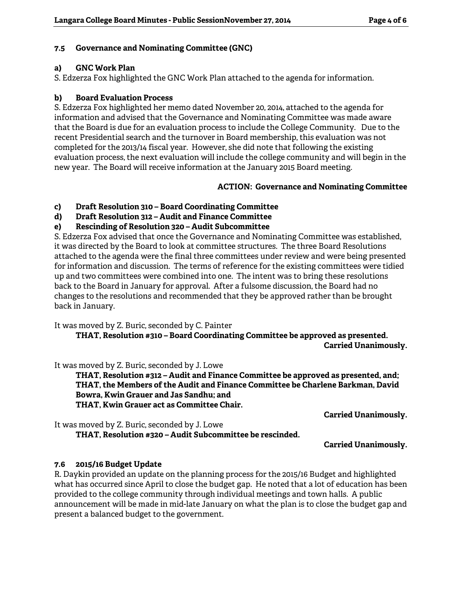## **7.5 Governance and Nominating Committee (GNC)**

#### **a) GNC Work Plan**

S. Edzerza Fox highlighted the GNC Work Plan attached to the agenda for information.

#### **b) Board Evaluation Process**

S. Edzerza Fox highlighted her memo dated November 20, 2014, attached to the agenda for information and advised that the Governance and Nominating Committee was made aware that the Board is due for an evaluation process to include the College Community. Due to the recent Presidential search and the turnover in Board membership, this evaluation was not completed for the 2013/14 fiscal year. However, she did note that following the existing evaluation process, the next evaluation will include the college community and will begin in the new year. The Board will receive information at the January 2015 Board meeting.

#### **ACTION: Governance and Nominating Committee**

### **c) Draft Resolution 310 – Board Coordinating Committee**

**d) Draft Resolution 312 – Audit and Finance Committee** 

## **e) Rescinding of Resolution 320 – Audit Subcommittee**

S. Edzerza Fox advised that once the Governance and Nominating Committee was established, it was directed by the Board to look at committee structures. The three Board Resolutions attached to the agenda were the final three committees under review and were being presented for information and discussion. The terms of reference for the existing committees were tidied up and two committees were combined into one. The intent was to bring these resolutions back to the Board in January for approval. After a fulsome discussion, the Board had no changes to the resolutions and recommended that they be approved rather than be brought back in January.

It was moved by Z. Buric, seconded by C. Painter

 **THAT, Resolution #310 – Board Coordinating Committee be approved as presented. Carried Unanimously.** 

It was moved by Z. Buric, seconded by J. Lowe

 **THAT, Resolution #312 – Audit and Finance Committee be approved as presented, and; THAT, the Members of the Audit and Finance Committee be Charlene Barkman, David Bowra, Kwin Grauer and Jas Sandhu; and THAT, Kwin Grauer act as Committee Chair.** 

**Carried Unanimously.** 

It was moved by Z. Buric, seconded by J. Lowe  **THAT, Resolution #320 – Audit Subcommittee be rescinded.** 

**Carried Unanimously.** 

#### **7.6 2015/16 Budget Update**

R. Daykin provided an update on the planning process for the 2015/16 Budget and highlighted what has occurred since April to close the budget gap. He noted that a lot of education has been provided to the college community through individual meetings and town halls. A public announcement will be made in mid-late January on what the plan is to close the budget gap and present a balanced budget to the government.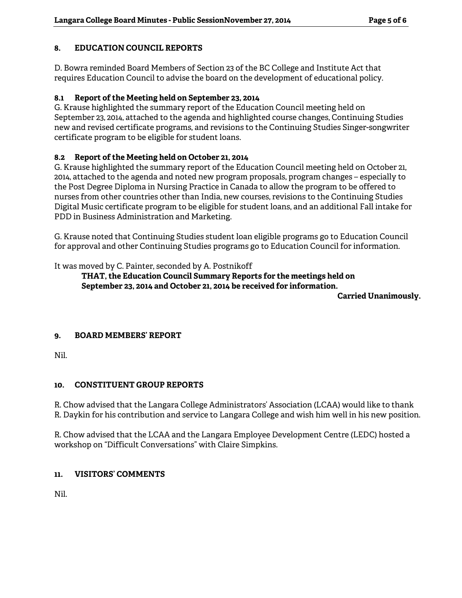## **8. EDUCATION COUNCIL REPORTS**

D. Bowra reminded Board Members of Section 23 of the BC College and Institute Act that requires Education Council to advise the board on the development of educational policy.

### **8.1 Report of the Meeting held on September 23, 2014**

G. Krause highlighted the summary report of the Education Council meeting held on September 23, 2014, attached to the agenda and highlighted course changes, Continuing Studies new and revised certificate programs, and revisions to the Continuing Studies Singer-songwriter certificate program to be eligible for student loans.

## **8.2 Report of the Meeting held on October 21, 2014**

G. Krause highlighted the summary report of the Education Council meeting held on October 21, 2014, attached to the agenda and noted new program proposals, program changes – especially to the Post Degree Diploma in Nursing Practice in Canada to allow the program to be offered to nurses from other countries other than India, new courses, revisions to the Continuing Studies Digital Music certificate program to be eligible for student loans, and an additional Fall intake for PDD in Business Administration and Marketing.

G. Krause noted that Continuing Studies student loan eligible programs go to Education Council for approval and other Continuing Studies programs go to Education Council for information.

## It was moved by C. Painter, seconded by A. Postnikoff

## **THAT, the Education Council Summary Reports for the meetings held on September 23, 2014 and October 21, 2014 be received for information.**

**Carried Unanimously.** 

#### **9. BOARD MEMBERS' REPORT**

Nil.

#### **10. CONSTITUENT GROUP REPORTS**

R. Chow advised that the Langara College Administrators' Association (LCAA) would like to thank R. Daykin for his contribution and service to Langara College and wish him well in his new position.

R. Chow advised that the LCAA and the Langara Employee Development Centre (LEDC) hosted a workshop on "Difficult Conversations" with Claire Simpkins.

# **11. VISITORS' COMMENTS**

Nil.